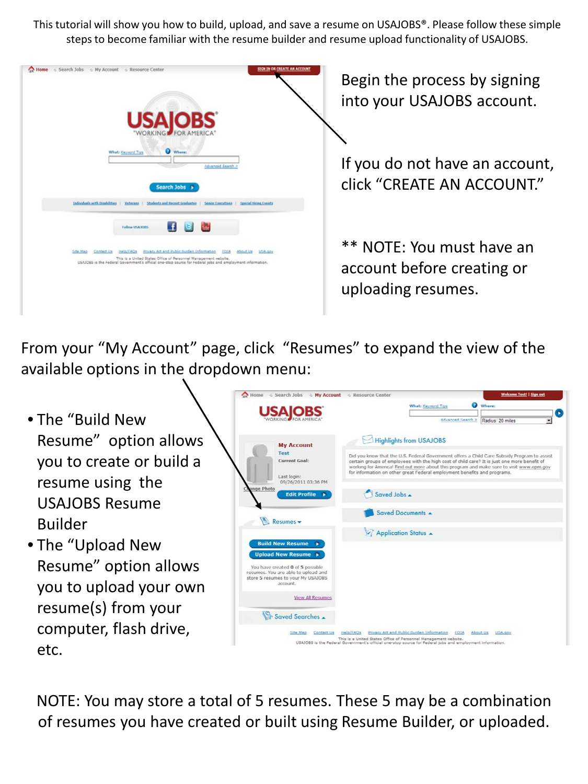This tutorial will show you how to build, upload, and save a resume on USAJOBS®. Please follow these simple steps to become familiar with the resume builder and resume upload functionality of USAJOBS.



Begin the process by signing into your USAJOBS account.

If you do not have an account, click "CREATE AN ACCOUNT."

\*\* NOTE: You must have an account before creating or uploading resumes.

From your "My Account" page, click "Resumes" to expand the view of the available options in the dropdown menu:

- The "Build New Resume" option allows you to create or build a resume using the USAJOBS Resume Builder
- The "Upload New Resume" option allows you to upload your own resume(s) from your computer, flash drive, etc.



NOTE: You may store a total of 5 resumes. These 5 may be a combination of resumes you have created or built using Resume Builder, or uploaded.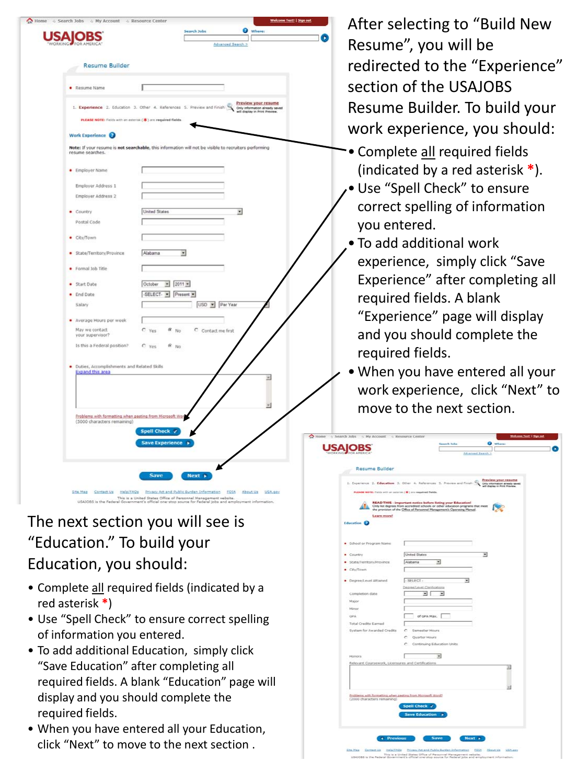| <b>Resume Builder</b>                                          |                                                                                                       |          |
|----------------------------------------------------------------|-------------------------------------------------------------------------------------------------------|----------|
| · Resume Name                                                  | I                                                                                                     |          |
| PLEASE NOTE: Fields with an asterisk (*) are required fields.  | 1. Experience 2. Education 3. Other 4. References 5. Preview and Finish                               |          |
| Work Experience <b>@</b>                                       |                                                                                                       |          |
| resume searches.                                               | Note: If your resume is not searchable, this information will not be visible to recruiters performing |          |
| · Employer Name                                                |                                                                                                       |          |
| Employer Address 1                                             |                                                                                                       |          |
| Employer Address 2                                             |                                                                                                       |          |
| • Country                                                      | <b>United States</b><br>$\overline{\mathbf{r}}$                                                       |          |
| Postal Code                                                    |                                                                                                       |          |
| City/Town                                                      |                                                                                                       |          |
| State/Territory/Province                                       | $\overline{z}$<br>Alabama                                                                             |          |
| Formal Job Title                                               |                                                                                                       |          |
| Start Date                                                     | October - 2011 -                                                                                      |          |
| End Date                                                       | -SELECT- Present -                                                                                    |          |
| Salary                                                         | USD Per Year                                                                                          |          |
| · Average Hours per week                                       |                                                                                                       |          |
| May we contact<br>your supervisor?                             | $C$ No<br>C Contact me first<br>$C$ Yes                                                               |          |
| Is this a Federal position?                                    | C yes<br>6N0                                                                                          |          |
| Duties, Accomplishments and Related Skills<br>Expand this area |                                                                                                       | $\omega$ |
|                                                                |                                                                                                       |          |
| Problems with formatting when pasting from Microsoft Wor       |                                                                                                       | ×        |
| (5000 characters remaining)                                    |                                                                                                       |          |
|                                                                | Spell Check Y<br>Save Experience >                                                                    |          |
|                                                                |                                                                                                       |          |

## The next section you will see is "Education." To build your Education, you should:

- Complete all required fields (indicated by a red asterisk **\***)
- Use "Spell Check" to ensure correct spelling of information you entered.
- To add additional Education, simply click "Save Education" after completing all required fields. A blank "Education" page will display and you should complete the required fields.
- When you have entered all your Education, click "Next" to move to the next section .

After selecting to "Build New Resume", you will be redirected to the "Experience" section of the USAJOBS Resume Builder. To build your work experience, you should:

- Complete all required fields (indicated by a red asterisk **\***).
- •Use "Spell Check" to ensure correct spelling of information you entered.
- To add additional work experience, simply click "Save Experience" after completing all required fields. A blank "Experience" page will display and you should complete the required fields.
- When you have entered all your work experience, click "Next" to move to the next section.

|                                                                                                                     |                             |                                                                                                                                                                                                                                 | Advanced Exerch 1        |  |
|---------------------------------------------------------------------------------------------------------------------|-----------------------------|---------------------------------------------------------------------------------------------------------------------------------------------------------------------------------------------------------------------------------|--------------------------|--|
| Resume Builder                                                                                                      |                             |                                                                                                                                                                                                                                 |                          |  |
| 1. Experience 2. Education 3. Other 4. References 3. Preview and Finish Contemporary and appropriate the context of |                             |                                                                                                                                                                                                                                 |                          |  |
| PLEASE NOTE: Punck with an automa, ( \$ ) are required fields.                                                      |                             |                                                                                                                                                                                                                                 |                          |  |
|                                                                                                                     |                             |                                                                                                                                                                                                                                 |                          |  |
|                                                                                                                     |                             | <b>READ THIS - important notice before listing your Education!</b><br>Only list degrees from accredited schools or other education programs that meet<br>the provision of the Office of Personnel Management's Operating Manuel |                          |  |
| <b>Learn more!</b>                                                                                                  |                             |                                                                                                                                                                                                                                 |                          |  |
| <b>Education</b>                                                                                                    |                             |                                                                                                                                                                                                                                 |                          |  |
| · School or Program Name                                                                                            |                             |                                                                                                                                                                                                                                 |                          |  |
|                                                                                                                     |                             |                                                                                                                                                                                                                                 |                          |  |
| · Country                                                                                                           | United States               |                                                                                                                                                                                                                                 | ⊣                        |  |
| · State/Territory/Province                                                                                          | Alabama                     | 회                                                                                                                                                                                                                               |                          |  |
| $-$ City/fown                                                                                                       |                             |                                                                                                                                                                                                                                 |                          |  |
| · Degree/Level Attamed                                                                                              | $-$ SELECT $-$              | ۳                                                                                                                                                                                                                               |                          |  |
|                                                                                                                     | Degree/Level Clarifications |                                                                                                                                                                                                                                 |                          |  |
| completion date                                                                                                     | EI I                        | ₩                                                                                                                                                                                                                               |                          |  |
| Major                                                                                                               |                             |                                                                                                                                                                                                                                 |                          |  |
| Minor                                                                                                               |                             |                                                                                                                                                                                                                                 |                          |  |
| OPA                                                                                                                 | of GPA Max.                 |                                                                                                                                                                                                                                 |                          |  |
| <b>Total Credits Earned</b><br>System for Awarded Credits                                                           | Semester Hours<br>c         |                                                                                                                                                                                                                                 |                          |  |
|                                                                                                                     | c<br>Quarter Hours          |                                                                                                                                                                                                                                 |                          |  |
|                                                                                                                     | c                           | Continuing Education Units                                                                                                                                                                                                      |                          |  |
|                                                                                                                     |                             |                                                                                                                                                                                                                                 |                          |  |
| Honors.                                                                                                             |                             | ⋥                                                                                                                                                                                                                               |                          |  |
| Relevant Coursework, Licensures and Certifications                                                                  |                             |                                                                                                                                                                                                                                 | $\overline{\phantom{a}}$ |  |
|                                                                                                                     |                             |                                                                                                                                                                                                                                 |                          |  |
|                                                                                                                     |                             |                                                                                                                                                                                                                                 |                          |  |
|                                                                                                                     |                             |                                                                                                                                                                                                                                 |                          |  |
| Problems with formatting when pasting from Hicrosoft World?<br>(2000 characters remaining)                          |                             |                                                                                                                                                                                                                                 |                          |  |
|                                                                                                                     | Spell Check v               |                                                                                                                                                                                                                                 |                          |  |
|                                                                                                                     | Save Education »            |                                                                                                                                                                                                                                 |                          |  |
|                                                                                                                     |                             |                                                                                                                                                                                                                                 |                          |  |
|                                                                                                                     |                             |                                                                                                                                                                                                                                 |                          |  |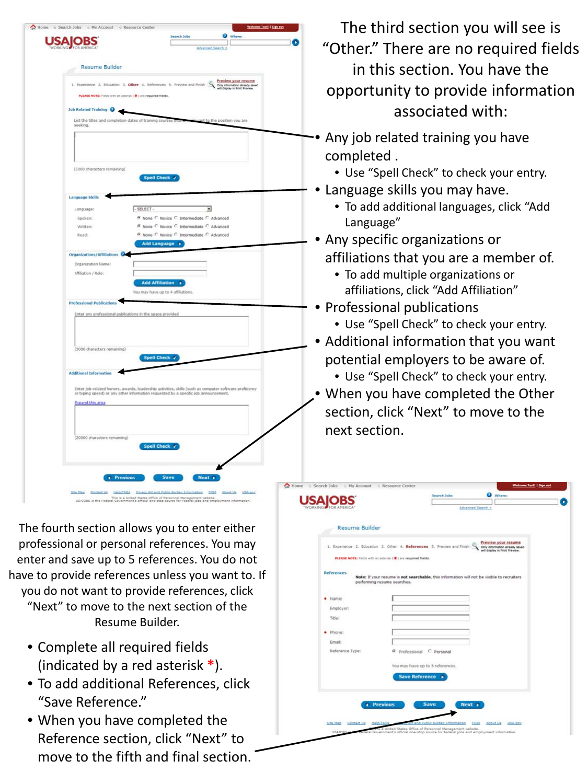| <b>USA OBS</b>                                                                                                                                                                                |                                    |                                                                                        | Advanced Search >        |  |
|-----------------------------------------------------------------------------------------------------------------------------------------------------------------------------------------------|------------------------------------|----------------------------------------------------------------------------------------|--------------------------|--|
|                                                                                                                                                                                               |                                    |                                                                                        |                          |  |
| <b>Resume Builder</b>                                                                                                                                                                         |                                    |                                                                                        |                          |  |
| 1. Experience 2. Education 3. Other 4. References 5. Preview and Finish Contractor areas seed                                                                                                 |                                    |                                                                                        |                          |  |
| PLEASE NOTE: Fields with an astociak (*) are required fields.                                                                                                                                 |                                    |                                                                                        |                          |  |
| <b>Job Related Training @</b>                                                                                                                                                                 |                                    |                                                                                        |                          |  |
| List the titles and completion dates of training courses that we wake not to the position you are                                                                                             |                                    |                                                                                        |                          |  |
| seeking.                                                                                                                                                                                      |                                    |                                                                                        |                          |  |
|                                                                                                                                                                                               |                                    |                                                                                        |                          |  |
|                                                                                                                                                                                               |                                    |                                                                                        |                          |  |
|                                                                                                                                                                                               |                                    |                                                                                        |                          |  |
| (5000 characters remaining)                                                                                                                                                                   |                                    |                                                                                        |                          |  |
|                                                                                                                                                                                               | Spell Check y                      |                                                                                        |                          |  |
|                                                                                                                                                                                               |                                    |                                                                                        |                          |  |
| <b>Language Skills</b>                                                                                                                                                                        |                                    |                                                                                        |                          |  |
| Language:                                                                                                                                                                                     | $-$ SELECT $-$                     |                                                                                        | $\overline{\phantom{a}}$ |  |
| Spoken:<br>Written:                                                                                                                                                                           |                                    | C None C Novice C Intermediate C Advanced<br>® None C Novice C Intermediate C Advanced |                          |  |
| Read:                                                                                                                                                                                         |                                    | © None C Novice C Intermediate C Advanced                                              |                          |  |
|                                                                                                                                                                                               | Add Language >                     |                                                                                        |                          |  |
| Organizations/Affiliations <sup>O</sup>                                                                                                                                                       |                                    |                                                                                        |                          |  |
| Organization Name:                                                                                                                                                                            |                                    |                                                                                        |                          |  |
| Affiliation / Role:                                                                                                                                                                           |                                    |                                                                                        |                          |  |
|                                                                                                                                                                                               | <b>Add Affiliation</b> >           |                                                                                        |                          |  |
|                                                                                                                                                                                               | You may have up to 4 affiliations. |                                                                                        |                          |  |
| <b>Professional Publications</b>                                                                                                                                                              |                                    |                                                                                        |                          |  |
| Enter any professional publications in the space provided                                                                                                                                     |                                    |                                                                                        |                          |  |
|                                                                                                                                                                                               |                                    |                                                                                        |                          |  |
|                                                                                                                                                                                               |                                    |                                                                                        |                          |  |
| (5000 characters remaining)                                                                                                                                                                   |                                    |                                                                                        |                          |  |
|                                                                                                                                                                                               | Spell Check v                      |                                                                                        |                          |  |
| <b>Additional Information</b>                                                                                                                                                                 |                                    |                                                                                        |                          |  |
|                                                                                                                                                                                               |                                    |                                                                                        |                          |  |
| Enter job-related honors, awards, leadership activities, skills (such as computer software proficiency<br>or typing speed) or any other information requested by a specific job announcement. |                                    |                                                                                        |                          |  |
| <b>Expand this area</b>                                                                                                                                                                       |                                    |                                                                                        |                          |  |
|                                                                                                                                                                                               |                                    |                                                                                        |                          |  |
|                                                                                                                                                                                               |                                    |                                                                                        |                          |  |
| (20000 characters remaining)                                                                                                                                                                  |                                    |                                                                                        |                          |  |
|                                                                                                                                                                                               | Spell Check v                      |                                                                                        |                          |  |
|                                                                                                                                                                                               |                                    |                                                                                        |                          |  |
|                                                                                                                                                                                               |                                    |                                                                                        |                          |  |
| <i><b>4</b></i> Previous                                                                                                                                                                      |                                    | Save<br>Next »                                                                         |                          |  |
|                                                                                                                                                                                               |                                    |                                                                                        |                          |  |

The fourth section allows you to enter either professional or personal references. You may enter and save up to 5 references. You do not have to provide references unless you want to. If you do not want to provide references, click

"Next" to move to the next section of the Resume Builder.

- Complete all required fields (indicated by a red asterisk **\***).
- To add additional References, click "Save Reference."
- When you have completed the Reference section, click "Next" to move to the fifth and final section.

The third section you will see is "Other." There are no required fields in this section. You have the opportunity to provide information associated with:

- Any job related training you have completed .
	- Use "Spell Check" to check your entry.
- Language skills you may have.
	- To add additional languages, click "Add Language"
- Any specific organizations or affiliations that you are a member of.
	- To add multiple organizations or affiliations, click "Add Affiliation"
- Professional publications
	- Use "Spell Check" to check your entry.
- Additional information that you want potential employers to be aware of.
	- Use "Spell Check" to check your entry.
- When you have completed the Other section, click "Next" to move to the next section.

|                           | Preview your resume<br>1. Experience 2. Education 3. Other 4. References 5. Preview and Finish<br>Only information aiready saved<br>will display in Print Preview. |
|---------------------------|--------------------------------------------------------------------------------------------------------------------------------------------------------------------|
|                           | PLEASE NOTE: Fields with an asterisk ( *) are required fields.                                                                                                     |
|                           |                                                                                                                                                                    |
| <b>References</b>         | Note: If your resume is not searchable, this information will not be visible to recruiters<br>performing resume searches.                                          |
|                           |                                                                                                                                                                    |
| · Name:                   |                                                                                                                                                                    |
| Employer:                 |                                                                                                                                                                    |
| Title:                    |                                                                                                                                                                    |
|                           |                                                                                                                                                                    |
| · Phone:                  |                                                                                                                                                                    |
| Email:<br>Reference Type: | G                                                                                                                                                                  |
|                           | Professional C Personal                                                                                                                                            |
|                           | You may have up to 5 references.                                                                                                                                   |
|                           | <b>Save Reference</b><br>٠                                                                                                                                         |
|                           |                                                                                                                                                                    |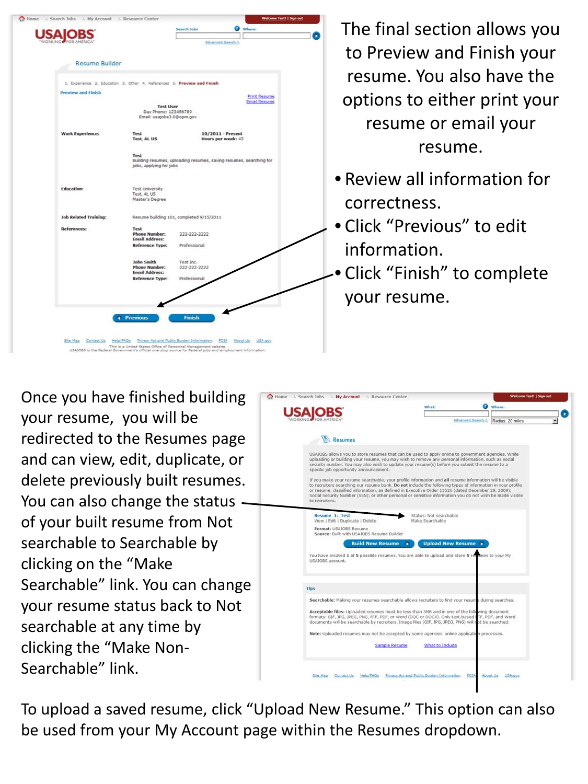| Home<br>Search Jobs<br>& My Account<br>& Resource Center                |                                                                        |                                                                                                           |          | Welcome Test!   Sign out |
|-------------------------------------------------------------------------|------------------------------------------------------------------------|-----------------------------------------------------------------------------------------------------------|----------|--------------------------|
|                                                                         | Search Jobs                                                            |                                                                                                           | Where:   |                          |
|                                                                         |                                                                        |                                                                                                           |          |                          |
|                                                                         |                                                                        | Advanced Search >                                                                                         |          |                          |
| <b>Resume Builder</b>                                                   |                                                                        |                                                                                                           |          |                          |
| 1. Experience 2. Education 3. Other 4. References 5. Preview and Finish |                                                                        |                                                                                                           |          |                          |
| <b>Preview and Finish</b>                                               |                                                                        |                                                                                                           |          | <b>Print Resume</b>      |
|                                                                         |                                                                        |                                                                                                           |          | <b>Email Resume</b>      |
|                                                                         | <b>Test User</b><br>Day Phone: 123456789<br>Email: usajobs3.0@opm.gov. |                                                                                                           |          |                          |
| <b>Work Experience:</b>                                                 | Test<br><b>Test, AL US</b>                                             | 10/2011 - Present<br>Hours per week: 45                                                                   |          |                          |
|                                                                         | Test<br>jobs, applying for jobs                                        | Building resumes, uploading resumes, saving resumes, searching for                                        |          |                          |
| <b>Education:</b>                                                       | <b>Test University</b><br>Test, AL US<br>Master's Degree               |                                                                                                           |          |                          |
| <b>Job Related Training:</b>                                            |                                                                        | Resume building 101, completed 9/15/2011                                                                  |          |                          |
| <b>References:</b>                                                      | <b>Test</b><br><b>Phone Number:</b><br><b>Email Address:</b>           | 222-222-2222                                                                                              |          |                          |
|                                                                         | <b>Reference Type:</b>                                                 | Professional                                                                                              |          |                          |
|                                                                         | <b>John Smith</b><br><b>Phone Number:</b><br><b>Email Address:</b>     | Test Inc.<br>222-222-2222                                                                                 |          |                          |
|                                                                         | <b>Reference Type:</b>                                                 | Professional                                                                                              |          |                          |
|                                                                         |                                                                        |                                                                                                           |          |                          |
|                                                                         | <b>4 Previous</b>                                                      | <b>Finish</b>                                                                                             |          |                          |
| Site Mag<br>Contact Va                                                  | Help/FAOs                                                              | Privacy Act and Public Burden Information FOIA                                                            | About Us | USA.gev                  |
|                                                                         | This is a United States Office of Personnel Management website.        | USAJOBS is the Federal Government's official one-stop source for Federal jobs and employment information. |          |                          |

The final section allows you to Preview and Finish your resume. You also have the options to either print your resume or email your resume.

- Review all information for correctness.
- Click "Previous" to edit information.
- Click "Finish" to complete your resume.

Once you have finished building your resume, you will be redirected to the Resumes page and can view, edit, duplicate, or delete previously built resumes. You can also change the status of your built resume from Not searchable to Searchable by clicking on the "Make Searchable" link. You can change your resume status back to Not searchable at any time by clicking the "Make Non-Searchable" link.

|                                                                                                                                                                                                                                                                                                                                                                                                                                                                                                                                                                                                                                                                                                                                                                                                                 | What:           |                          | Where:            |                  |  |
|-----------------------------------------------------------------------------------------------------------------------------------------------------------------------------------------------------------------------------------------------------------------------------------------------------------------------------------------------------------------------------------------------------------------------------------------------------------------------------------------------------------------------------------------------------------------------------------------------------------------------------------------------------------------------------------------------------------------------------------------------------------------------------------------------------------------|-----------------|--------------------------|-------------------|------------------|--|
|                                                                                                                                                                                                                                                                                                                                                                                                                                                                                                                                                                                                                                                                                                                                                                                                                 |                 |                          | Advanced Search > | Radius. 20 miles |  |
| Resumes                                                                                                                                                                                                                                                                                                                                                                                                                                                                                                                                                                                                                                                                                                                                                                                                         |                 |                          |                   |                  |  |
| USAJOBS allows you to store resumes that can be used to apply online to government agencies. While<br>uploading or building your resume, you may wish to remove any personal information, such as social<br>security number. You may also wish to update your resume(s) before you submit the resume to a<br>specific job opportunity announcement.<br>If you make your resume searchable, your profile information and all resume information will be visible<br>to recruiters searching our resume bank. Do not include the following types of information in your profile<br>or resume: classified information, as defined in Executive Order 13526 (dated December 29, 2009);<br>Social Security Number (SSN); or other personal or sensitive information you do not wish be made visible<br>to recruiters. |                 |                          |                   |                  |  |
| Resume 1: Test                                                                                                                                                                                                                                                                                                                                                                                                                                                                                                                                                                                                                                                                                                                                                                                                  |                 | Status: Not searchable   |                   |                  |  |
| View   Edit   Duplicate   Delete<br>Format: USAIOBS Resume                                                                                                                                                                                                                                                                                                                                                                                                                                                                                                                                                                                                                                                                                                                                                      | Make Searchable |                          |                   |                  |  |
| Source: Built with USAJOBS Resume Builder                                                                                                                                                                                                                                                                                                                                                                                                                                                                                                                                                                                                                                                                                                                                                                       |                 |                          |                   |                  |  |
| <b>Build New Resume</b><br>You have created 1 of 5 possible resumes. You are able to upload and store 5 resumes to your My                                                                                                                                                                                                                                                                                                                                                                                                                                                                                                                                                                                                                                                                                      |                 | <b>Upload New Resume</b> |                   |                  |  |
| USAJOBS account.                                                                                                                                                                                                                                                                                                                                                                                                                                                                                                                                                                                                                                                                                                                                                                                                |                 |                          |                   |                  |  |
|                                                                                                                                                                                                                                                                                                                                                                                                                                                                                                                                                                                                                                                                                                                                                                                                                 |                 |                          |                   |                  |  |
| <b>Tips</b>                                                                                                                                                                                                                                                                                                                                                                                                                                                                                                                                                                                                                                                                                                                                                                                                     |                 |                          |                   |                  |  |
| Searchable: Making your resumes searchable allows recruiters to find your resume during searches.                                                                                                                                                                                                                                                                                                                                                                                                                                                                                                                                                                                                                                                                                                               |                 |                          |                   |                  |  |
| Acceptable files: Uploaded resumes must be less than 3MB and in one of the folk wing document<br>formats: GIF, JPG, JPEG, PNG, RTF, PDF, or Word (DOC or DOCX). Only text-based I TF, PDF, and Word<br>documents will be searchable by recruiters. Image files (GIF, JPG, JPEG, PNG) will not be searched.                                                                                                                                                                                                                                                                                                                                                                                                                                                                                                      |                 |                          |                   |                  |  |
| Note: Uploaded resumes may not be accepted by some agencies' online application processes.                                                                                                                                                                                                                                                                                                                                                                                                                                                                                                                                                                                                                                                                                                                      |                 |                          |                   |                  |  |
| Sample Resume                                                                                                                                                                                                                                                                                                                                                                                                                                                                                                                                                                                                                                                                                                                                                                                                   |                 | What to Include          |                   |                  |  |
|                                                                                                                                                                                                                                                                                                                                                                                                                                                                                                                                                                                                                                                                                                                                                                                                                 |                 |                          |                   |                  |  |

To upload a saved resume, click "Upload New Resume." This option can also be used from your My Account page within the Resumes dropdown.